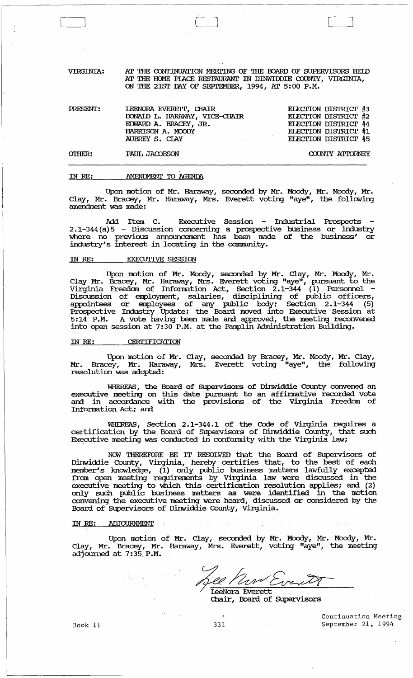VIRGlNIA: AT THE CONTINUATION MEETING OF THE BOARD OF SUPERVISORS HELD AT THE HOME PLACE RESTAURANT IN DINWIDDIE COUNTY, VIRGINIA, ON THE 21ST DAY OF SEPTEMBER, 1994, AT 5:00 P.M.

| PRESENT:      | LEENORA EVERETT, CHAIR<br>DONAID L. HARAWAY, VICE-CHAIR<br>EDWARD A. BRACEY, JR.<br>HARRISON A. MOODY<br>AUBREY S. CLAY | ELECTION DISTRICT #3<br>ELECTION DISTRICT #2<br>ELECTION DISTRICT #4<br><b>ELECTION DISTRICT #1</b><br>ELECTION DISTRICT #5 |
|---------------|-------------------------------------------------------------------------------------------------------------------------|-----------------------------------------------------------------------------------------------------------------------------|
| <b>OTHER:</b> | PAUL JACOBSON                                                                                                           | COUNTY ATTORNEY                                                                                                             |

## AMENDMENT TO AGENDA IN RE:

'-.-J

Upon motion of Mr. Haraway, seconded by Mr. Moody, Mr. Moody, Mr. Clay, Mr. Bracey, Mr. Haraway, Mrs. Everett voting "aye", the following amendment was made:

Add Item C. Executive Session - Industrial Prospects 2.1-344(a) 5 - Discussion concerning a prospective business or industry where no previous announcement has been made of the business' or industry's interest in locating in the community.

## IN RE: EXECUTIVE SESSION

Upon motion of Mr. Moody, seconded by Mr. Clay, Mr. Moody, Mr. Clay Mr. Bracey, Mr. Haraway, Mrs. Everett voting "aye", pursuant to the Virginia Freedom of Infonnation Act, Section 2.1-344 (1) Personnel - Discussion of employment, salaries, disciplining of public officers, appointees or employees of any public body; Section 2.1-344 (5) Prospective Industry Update; the Board moved into Executive Session at 5:14 P.M. A vote having been made and approved, the meeting reconvened into open session at 7:30 P.M. at the Pamplin Administration Building.

## IN RE: CERITIFICATION

Upon motion of Mr. Clay, seconded by Bracey, Mr. Moody, Mr. Clay, Mr. Bracey, Mr. Haraway, Mrs. Everett voting "aye", the following resolution was adopted:

WHEREAS, the Board of SUpervisors of Dinwiddie County convened an executive meeting on this date pursuant to an affinnative recorded vote and in accordance with the provisions of the Virginia Freedom of Infonnation Act; am

WHEREAS, Section 2.1-344.1 of the Code of Virginia requires a certification by the Board of SUpervisors of Dinwiddie County, that such Executive meeting was conducted in conformity with the Virginia law;

NCM 'IHEREFORE BE rr RESOLVED that the Board of SUpervisors of Dinwiddie County, Virginia, hereby certifies that, to the best of each member's knowledge, (1) only public business matters lawfully excepted from open meeting requirements by Virginia law were discussed in the executive meeting to which this certification resolution applies; and (2) only such public business matters as were identified in the motion convening the executive meeting were heard, discussed or considered by the Board of SUpervisors of Dinwiddie County, Virginia.

## IN RE: ADJOURNMENT

Upon motion of Mr. Clay, seconded by Mr. Moody, Mr. Moody, Mr. Clay, Mr. Bracey, Mr. Haraway, Mrs. Everett, voting "aye", the meeting adjourned at 7:35. P.M.

 $\mathcal{L} = \mathcal{L}$ 

ell / Low Event?<br>TeeNora Everett<br>Chair, Board of Supervisors

Book 11

Continuation Meeting September 21, 1994